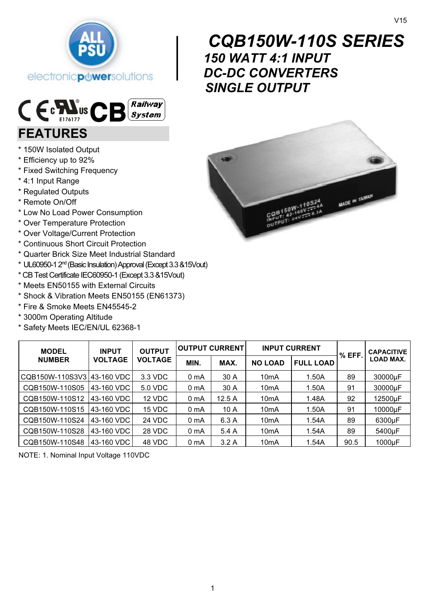



# FEATURES

- \* 150W Isolated Output
- \* Efficiency up to 92%
- \* Fixed Switching Frequency
- \* 4:1 Input Range
- \* Regulated Outputs
- \* Remote On/Off
- \* Low No Load Power Consumption
- \* Over Temperature Protection
- \* Over Voltage/Current Protection
- \* Continuous Short Circuit Protection
- \* Quarter Brick Size Meet Industrial Standard
- \* UL60950-1 2nd (Basic Insulation) Approval (Except 3.3 &15Vout)
- \* CB Test Certificate IEC60950-1 (Except 3.3 &15Vout)
- \* Meets EN50155 with External Circuits
- \* Shock & Vibration Meets EN50155 (EN61373)
- \* Fire & Smoke Meets EN45545-2
- \* 3000m Operating Altitude
- \* Safety Meets IEC/EN/UL 62368-1

| <b>CQB150W-110S SERIES</b> |
|----------------------------|
| <b>150 WATT 4:1 INPUT</b>  |
| <b>DC-DC CONVERTERS</b>    |
| <b>SINGLE OUTPUT</b>       |



| <b>MODEL</b>               | <b>INPUT</b><br><b>VOLTAGE</b> | <b>OUTPUT</b><br><b>VOLTAGE</b> | <b>IOUTPUT CURRENT</b> |       | <b>INPUT CURRENT</b> |                  |        | <b>CAPACITIVE</b> |
|----------------------------|--------------------------------|---------------------------------|------------------------|-------|----------------------|------------------|--------|-------------------|
| <b>NUMBER</b>              |                                |                                 | MIN.                   | MAX.  | <b>NO LOAD</b>       | <b>FULL LOAD</b> | % EFF. | <b>LOAD MAX.</b>  |
| CQB150W-110S3V3 43-160 VDC |                                | 3.3 VDC                         | 0 mA                   | 30 A  | 10 <sub>m</sub> A    | 1.50A            | 89     | 30000µF           |
| CQB150W-110S05             | 43-160 VDC                     | 5.0 VDC                         | 0 mA                   | 30 A  | 10 <sub>m</sub> A    | 1.50A            | 91     | 30000µF           |
| CQB150W-110S12             | 43-160 VDC                     | 12 VDC                          | 0 mA                   | 12.5A | 10 <sub>m</sub> A    | 1.48A            | 92     | 12500µF           |
| CQB150W-110S15             | 43-160 VDC                     | 15 VDC                          | 0 mA                   | 10A   | 10 <sub>m</sub> A    | 1.50A            | 91     | 10000µF           |
| CQB150W-110S24             | 43-160 VDC                     | 24 VDC                          | 0 mA                   | 6.3 A | 10 <sub>m</sub> A    | 1.54A            | 89     | 6300µF            |
| CQB150W-110S28             | 43-160 VDC                     | 28 VDC                          | 0 mA                   | 5.4 A | 10 <sub>m</sub> A    | 1.54A            | 89     | 5400µF            |
| CQB150W-110S48             | 43-160 VDC                     | 48 VDC                          | 0 mA                   | 3.2A  | 10 <sub>m</sub> A    | 1.54A            | 90.5   | 1000µF            |

NOTE: 1. Nominal Input Voltage 110VDC